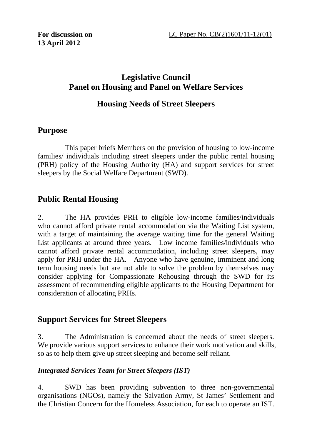### **Legislative Council Panel on Housing and Panel on Welfare Services**

# **Housing Needs of Street Sleepers**

## **Purpose**

1. This paper briefs Members on the provision of housing to low-income families/ individuals including street sleepers under the public rental housing (PRH) policy of the Housing Authority (HA) and support services for street sleepers by the Social Welfare Department (SWD).

# **Public Rental Housing**

2. The HA provides PRH to eligible low-income families/individuals who cannot afford private rental accommodation via the Waiting List system, with a target of maintaining the average waiting time for the general Waiting List applicants at around three years. Low income families/individuals who cannot afford private rental accommodation, including street sleepers, may apply for PRH under the HA. Anyone who have genuine, imminent and long term housing needs but are not able to solve the problem by themselves may consider applying for Compassionate Rehousing through the SWD for its assessment of recommending eligible applicants to the Housing Department for consideration of allocating PRHs.

# **Support Services for Street Sleepers**

3. The Administration is concerned about the needs of street sleepers. We provide various support services to enhance their work motivation and skills, so as to help them give up street sleeping and become self-reliant.

#### *Integrated Services Team for Street Sleepers (IST)*

4. SWD has been providing subvention to three non-governmental organisations (NGOs), namely the Salvation Army, St James' Settlement and the Christian Concern for the Homeless Association, for each to operate an IST.